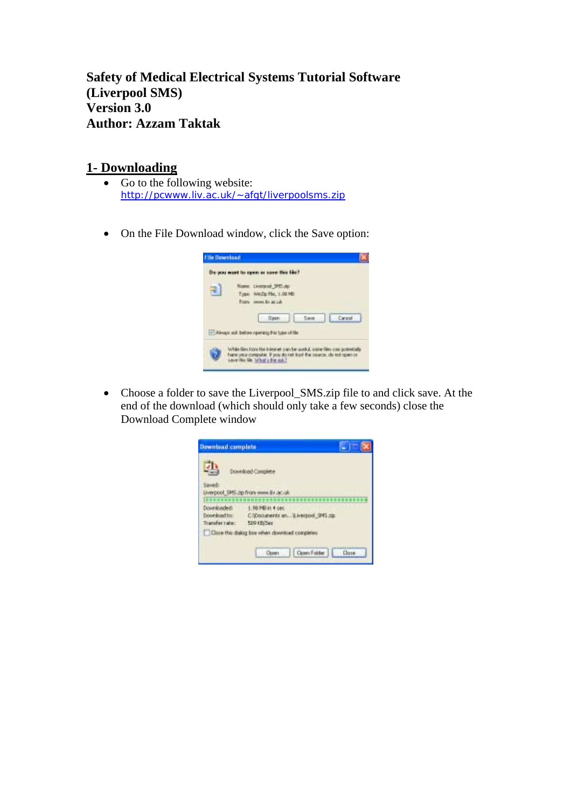**Safety of Medical Electrical Systems Tutorial Software (Liverpool SMS) Version 3.0 Author: Azzam Taktak** 

## **1- Downloading**

- Go to the following website: http://pcwww.liv.ac.uk/~afgt/liverpoolsms.zip
- On the File Download window, click the Save option:



• Choose a folder to save the Liverpool\_SMS.zip file to and click save. At the end of the download (which should only take a few seconds) close the Download Complete window

| Download complete                            |                                                                                                                          | ۰            |  |
|----------------------------------------------|--------------------------------------------------------------------------------------------------------------------------|--------------|--|
| Seved:<br><b>BEFFEREEFERE</b>                | Download Complete<br>Liverpool, 5MS zip from www.liv.ac.uk                                                               |              |  |
| Downloaded:<br>Download ho:<br>Transferrate: | 1.96 Hill in 4 sec<br>C/Documents an Liverpool SNS.zg.<br>SD9 (E) Sec.<br>Class the dailing best when download completes |              |  |
|                                              | Open Folder<br><b>Cleanes</b>                                                                                            | <b>Close</b> |  |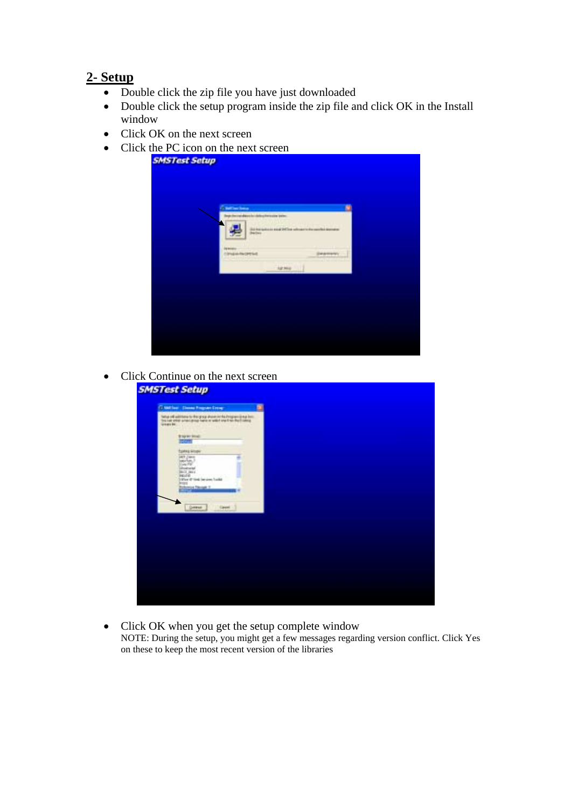## **2- Setup**

- Double click the zip file you have just downloaded
- Double click the setup program inside the zip file and click OK in the Install window
- Click OK on the next screen
- Click the PC icon on the next screen

| <b>C. Self-Text Texture</b><br>by the address in this phenomena. | ¥,                                                    |  |
|------------------------------------------------------------------|-------------------------------------------------------|--|
| <b>Declare</b>                                                   | (Ed francisco en al DETo e solo pero de condicionente |  |
| <b><i><u>SQ Britalists</u></i></b><br><b>Circulas Necessas</b>   | Dearers                                               |  |
| <b>katmie</b>                                                    |                                                       |  |
|                                                                  |                                                       |  |
|                                                                  |                                                       |  |

• Click Continue on the next screen

| (7 sail los: Cleves Program Cross)                                                                                                                                                                                                                                                                                                                                                                                                                 | 围 |  |
|----------------------------------------------------------------------------------------------------------------------------------------------------------------------------------------------------------------------------------------------------------------------------------------------------------------------------------------------------------------------------------------------------------------------------------------------------|---|--|
| fattus all withhous to the group share in the inequality process.<br>You say areas arrangings hard or wild and he that called<br><b>GRANDE</b><br><b>Blows limit</b><br><b>ISON</b><br><b>Earns Woor</b><br>last para<br>۰<br>laticher.)<br>Sland PM<br><b>Silvestowian</b><br><b>SACE DALA</b><br><b>RELER</b><br>Silver d'Andries Insurer Travité<br><b>PIES</b><br><b>Report Follows</b><br><b>Detect</b><br>Earnel<br><b>STATISTICS</b><br>--- |   |  |
|                                                                                                                                                                                                                                                                                                                                                                                                                                                    |   |  |
|                                                                                                                                                                                                                                                                                                                                                                                                                                                    |   |  |
|                                                                                                                                                                                                                                                                                                                                                                                                                                                    |   |  |

• Click OK when you get the setup complete window NOTE: During the setup, you might get a few messages regarding version conflict. Click Yes on these to keep the most recent version of the libraries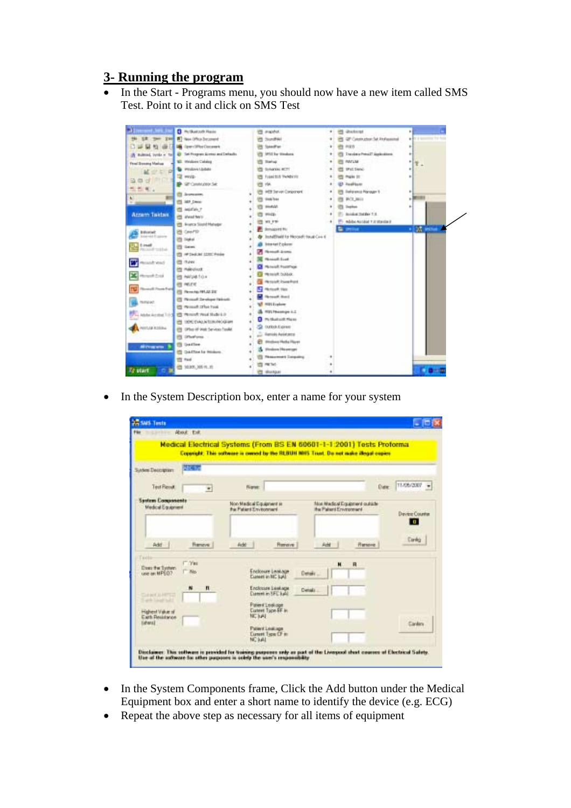## **3- Running the program**

• In the Start - Programs menu, you should now have a new item called SMS Test. Point to it and click on SMS Test



• In the System Description box, enter a name for your system

|                                                                                         | About Folk                                      |                                                                                                                                                                  |                                                           |                            |
|-----------------------------------------------------------------------------------------|-------------------------------------------------|------------------------------------------------------------------------------------------------------------------------------------------------------------------|-----------------------------------------------------------|----------------------------|
|                                                                                         |                                                 | Medical Electrical Systems (From BS EN 60601-1-1:2001) Tests Proforma<br>Copyright: This software is corned by the SLBUH MHS. Trust. Do not make illegal expires |                                                           |                            |
| System Description:                                                                     | <b>ATC ST</b>                                   |                                                                                                                                                                  |                                                           |                            |
| <b>Test Flessit</b>                                                                     | $\blacksquare$                                  | Name:                                                                                                                                                            |                                                           | 11/05/2007<br>Date         |
| <b>System Congressents</b><br>Medical Equipment                                         |                                                 | Non Madical Equipment as<br>the Paland Environment                                                                                                               | Most Martinal Explorant outside<br>the Palant Environment | <b>Device Counter</b><br>ю |
| Add -                                                                                   | <b>Hencye</b>                                   | Feder<br>Renove                                                                                                                                                  | Add<br><b>Flamping</b>                                    | Cardia                     |
| Does the System.<br>use an MP502                                                        | <b>C. Yes</b><br>N <sub>0</sub><br>$\mathbf{u}$ | Endosure Leasure<br>Expert in NC lot.<br>Erclosies Luskape                                                                                                       | н<br>$\mathbf{R}$<br>Detail:<br>Detail:                   |                            |
| CHRISTINESS<br><b>Card Tangers Rd</b><br>Highest Value of<br>Eark Beakfaree<br>tisheral |                                                 | <b>Current in SFC hald</b><br>Patient Leakage<br><b>Custom Tucon EF in</b><br>NC MAL                                                                             |                                                           | Elizabies                  |
|                                                                                         |                                                 | Pallers Leakage<br><b>Current Type CF in</b><br>NC kAL                                                                                                           |                                                           |                            |

- In the System Components frame, Click the Add button under the Medical Equipment box and enter a short name to identify the device (e.g. ECG)
- Repeat the above step as necessary for all items of equipment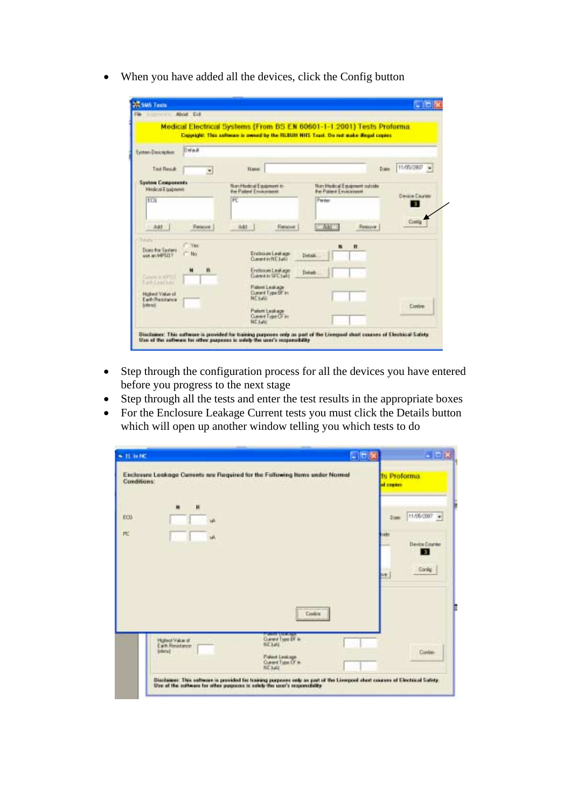• When you have added all the devices, click the Config button

|                                                     | an a convert is a member of the converted and converted and a converted and converted and converted and convert<br>Medical Electrical Systems (From BS EN 60601-1-1.2001) Tests Proforma. |                                                          |                      |
|-----------------------------------------------------|-------------------------------------------------------------------------------------------------------------------------------------------------------------------------------------------|----------------------------------------------------------|----------------------|
|                                                     | Copyright: This selloops is sweed by the RLEUIS HHS Touch. Do not make Begal copies.                                                                                                      |                                                          |                      |
| Delaut<br>Eastern Daucrichist                       |                                                                                                                                                                                           |                                                          |                      |
| Ted Read:<br>$\overline{\phantom{a}}$               | Hannel                                                                                                                                                                                    |                                                          | 11/05/2007 -<br>D.MA |
| <b>System Components</b><br><b>Hedcal Equipment</b> | Nonthedox Equipment in<br>the Palant Environment                                                                                                                                          | Nov Medical Equipment suizable<br>the Palant Environment | Device Eaunter       |
| ECT                                                 | FC                                                                                                                                                                                        | Person                                                   | ٠                    |
| AA1<br><b>Relative</b>                              | AA1<br><b>Rendered</b>                                                                                                                                                                    | Aan<br>Eleksove                                          | Comig                |
| Textu<br><b>HOTEL</b>                               |                                                                                                                                                                                           | n                                                        |                      |
| Does the Sudary<br>1b's<br><b>MANUFACT?</b>         | Encitosum Luatures<br>Current in NC LaNT                                                                                                                                                  | Detail                                                   |                      |
| й<br>Current is MFRIT<br><b>East-Leafted</b>        | Environme Leakage<br>Cultivating SEC (with                                                                                                                                                | Dakalt                                                   |                      |
| Highest Value of<br>Earth Restrience                | Patent Leakage<br>Current Topa DP In<br><b>NCEAL</b>                                                                                                                                      |                                                          |                      |
| <b>Internet</b>                                     | <b>Patent Leshage</b><br>Cusey Fuse Of in<br><b>NETANI</b>                                                                                                                                |                                                          | <b>Contrer</b>       |

- Step through the configuration process for all the devices you have entered before you progress to the next stage
- Step through all the tests and enter the test results in the appropriate boxes
- For the Enclosure Leakage Current tests you must click the Details button which will open up another window telling you which tests to do

| Conditions: | Enclosure Leakage Currents are Required for the Following Items under Normal                                                                                             | <b>Its Proforma</b><br>al copier.                                 |
|-------------|--------------------------------------------------------------------------------------------------------------------------------------------------------------------------|-------------------------------------------------------------------|
| EEG.<br>贮   | Ħ<br>ua.                                                                                                                                                                 | T1/06/2007<br><b>Date</b><br>ide<br>Device Counter<br>п<br>Conlig |
|             | <b>Contess</b><br>Curry Type (F is<br><b>Highest Value of</b><br><b>NCHAL</b><br>Earth Resultance<br>Isteral<br>Fiskent Leakage<br>Current Trans OF to<br><b>NC kall</b> | w.<br>Circles                                                     |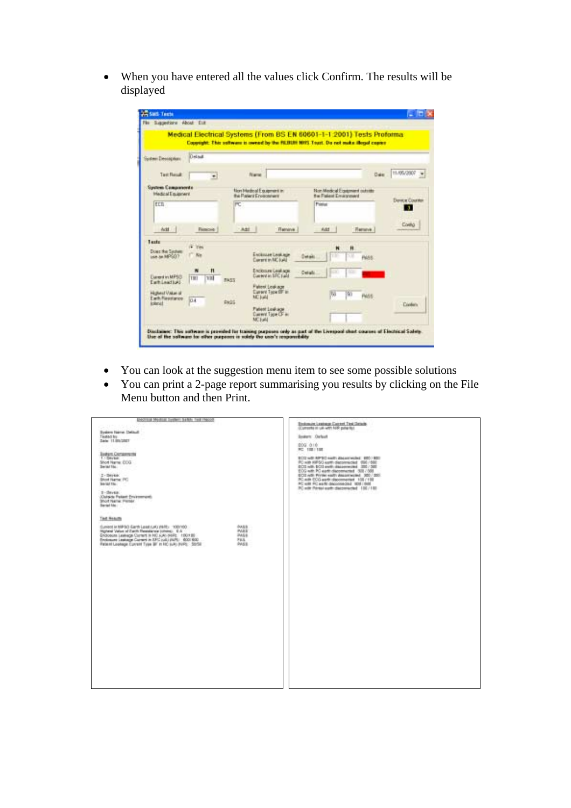• When you have entered all the values click Confirm. The results will be displayed

| Siggestone About Dat                                          |                                              |               | Medical Electrical Systems (From 8S EN 60601-1-1 2001) Tests Proforma<br>Copyright: This software is sweed by the fit BUST NITS Touri. Do not make illocal copper |                                                                |               |                                     |
|---------------------------------------------------------------|----------------------------------------------|---------------|-------------------------------------------------------------------------------------------------------------------------------------------------------------------|----------------------------------------------------------------|---------------|-------------------------------------|
| System Description                                            | Detail                                       |               |                                                                                                                                                                   |                                                                |               |                                     |
| <b>Twe Rendt</b>                                              |                                              |               | <b>Name</b>                                                                                                                                                       |                                                                | Date          | T1/05/2007 =                        |
| <b>System Companyords</b><br><b>Made of Environment</b>       |                                              |               | Non Hadroal Equipment in<br>the Platent Environment                                                                                                               | <b>Bon Medical Experient outside:</b><br>the Palent Emissioned |               |                                     |
| EEB                                                           |                                              | PC.           |                                                                                                                                                                   | Postal                                                         |               | <b>Down Counter</b><br>$\mathbf{r}$ |
| Actt 1                                                        | <b>Flamicing 1</b>                           |               | Add.<br><b>TI annova</b>                                                                                                                                          | Aidd                                                           | <b>Renave</b> | <b>Cordia</b>                       |
| Tasts<br>Down the Septer<br>USA AN REPORT?                    | i Tes<br>Ku                                  |               | Encourance Leaking<br>Corere in MC (sild)                                                                                                                         | Ħ<br>rю<br>×и<br>Detail                                        | <b>PANS</b>   |                                     |
| <b>Elament in MPSD</b><br>EarthLeadball                       | n<br>$\overline{\phantom{a}}$<br>TIET<br>131 | <b>FASS</b>   | Enclosure Leakage<br>Dimension SFC trade                                                                                                                          | Details                                                        |               |                                     |
| <b>Highwat Uskar all</b><br>Each Resonance<br><b>Intervit</b> | 10.4                                         | <b>Divisi</b> | <b>Fallent Leakacer</b><br><b>Curere Topa OF in</b><br>MC kald                                                                                                    | 50<br>743                                                      | <b>PASS</b>   | <b>Content</b>                      |
|                                                               |                                              |               | <b>Fatest Leakage</b><br>Darwit Tipe OF a<br>MC Eal-                                                                                                              |                                                                |               |                                     |

- You can look at the suggestion menu item to see some possible solutions
- You can print a 2-page report summarising you results by clicking on the File Menu button and then Print.

| EACTS at Modial System Safety Test Feccod                                                                                                                                                                                                                                                                                                     | Enstewate Leadston: Caprent Tiret Details<br>(Comente of usil with NSR private)                                                                                                 |
|-----------------------------------------------------------------------------------------------------------------------------------------------------------------------------------------------------------------------------------------------------------------------------------------------------------------------------------------------|---------------------------------------------------------------------------------------------------------------------------------------------------------------------------------|
| System Name: Delisali<br>Teated for                                                                                                                                                                                                                                                                                                           | <b>Searc</b> Octob                                                                                                                                                              |
| Date: 11.95/2021                                                                                                                                                                                                                                                                                                                              | DOG. 0181<br>RC 100/100                                                                                                                                                         |
| <b>Jaskers Conservants</b><br>1. Device<br>Shot Name: ECG<br>Decad Ha                                                                                                                                                                                                                                                                         | ECO with APSC early departeded. \$201,000.<br>PC with HIPSC Astro-disconnected (RIE-1602)<br>ECO will ECO exili-datameted 200 / SBI<br>EOG with PC earth disconnected 308 / 508 |
| $2 - 200 + 64$<br>Short Harna: PC<br><b>Secal file</b>                                                                                                                                                                                                                                                                                        | ECO AIR Private early department 300 / 200<br>PC AIR ECO aarts disconnected 108/198<br>PC will FC wirfs decorated at 1938 1948.<br>PC with Pitrasi earth disconnected 136/188   |
| $1 - 24$ year.<br><b>Culside Fatant Environment:</b><br>Short Harne: Plemar<br>Sarial Mo -                                                                                                                                                                                                                                                    |                                                                                                                                                                                 |
| Test Nekuth                                                                                                                                                                                                                                                                                                                                   |                                                                                                                                                                                 |
| Curricon - children's facebook Cultural Cultural at assistant<br>DAILY.<br>PART.<br>Highest Value of Earth Resolutes (chine). IEA<br>Endosom Leakege Current In NC JUN: 84R1 190739<br>PAGE<br>Environment Laudeaugan Courses in IDFC solid (PAPE) 6000 600<br><b>FILL</b><br>PAGE<br>Patent Lookepe Current Tyee BF in HIC suito (NPS) 50/53 |                                                                                                                                                                                 |
|                                                                                                                                                                                                                                                                                                                                               |                                                                                                                                                                                 |
|                                                                                                                                                                                                                                                                                                                                               |                                                                                                                                                                                 |